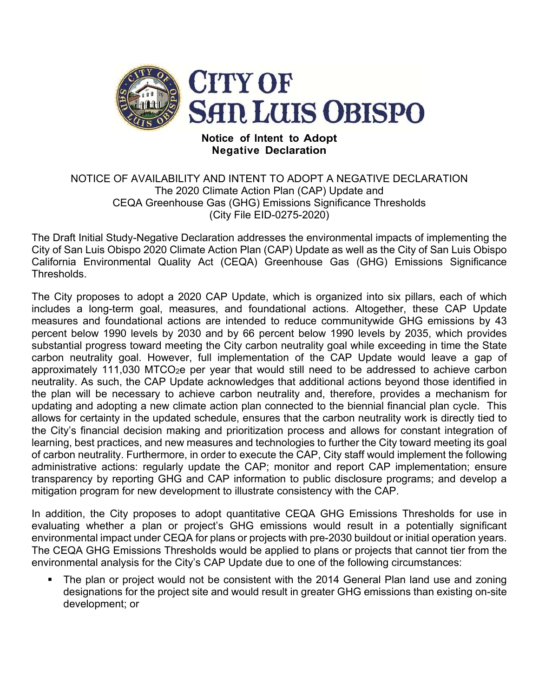

## **Notice of Intent to Adopt Negative Declaration**

## NOTICE OF AVAILABILITY AND INTENT TO ADOPT A NEGATIVE DECLARATION The 2020 Climate Action Plan (CAP) Update and CEQA Greenhouse Gas (GHG) Emissions Significance Thresholds (City File EID-0275-2020)

The Draft Initial Study-Negative Declaration addresses the environmental impacts of implementing the City of San Luis Obispo 2020 Climate Action Plan (CAP) Update as well as the City of San Luis Obispo California Environmental Quality Act (CEQA) Greenhouse Gas (GHG) Emissions Significance Thresholds.

The City proposes to adopt a 2020 CAP Update, which is organized into six pillars, each of which includes a long-term goal, measures, and foundational actions. Altogether, these CAP Update measures and foundational actions are intended to reduce communitywide GHG emissions by 43 percent below 1990 levels by 2030 and by 66 percent below 1990 levels by 2035, which provides substantial progress toward meeting the City carbon neutrality goal while exceeding in time the State carbon neutrality goal. However, full implementation of the CAP Update would leave a gap of approximately 111,030 MTCO<sub>2</sub>e per year that would still need to be addressed to achieve carbon neutrality. As such, the CAP Update acknowledges that additional actions beyond those identified in the plan will be necessary to achieve carbon neutrality and, therefore, provides a mechanism for updating and adopting a new climate action plan connected to the biennial financial plan cycle. This allows for certainty in the updated schedule, ensures that the carbon neutrality work is directly tied to the City's financial decision making and prioritization process and allows for constant integration of learning, best practices, and new measures and technologies to further the City toward meeting its goal of carbon neutrality. Furthermore, in order to execute the CAP, City staff would implement the following administrative actions: regularly update the CAP; monitor and report CAP implementation; ensure transparency by reporting GHG and CAP information to public disclosure programs; and develop a mitigation program for new development to illustrate consistency with the CAP.

In addition, the City proposes to adopt quantitative CEQA GHG Emissions Thresholds for use in evaluating whether a plan or project's GHG emissions would result in a potentially significant environmental impact under CEQA for plans or projects with pre-2030 buildout or initial operation years. The CEQA GHG Emissions Thresholds would be applied to plans or projects that cannot tier from the environmental analysis for the City's CAP Update due to one of the following circumstances:

 The plan or project would not be consistent with the 2014 General Plan land use and zoning designations for the project site and would result in greater GHG emissions than existing on-site development; or